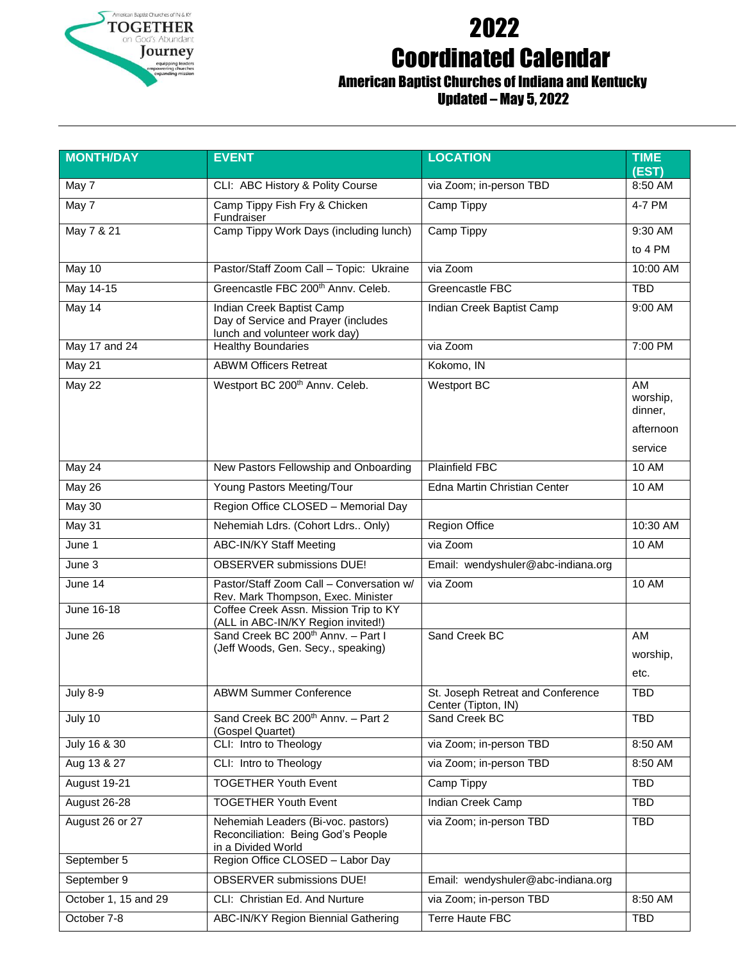

## 2022 Coordinated Calendar

## American Baptist Churches of Indiana and Kentucky Updated – May 5, 2022

| <b>MONTH/DAY</b>     | <b>EVENT</b>                                                                                      | <b>LOCATION</b>                                          | <b>TIME</b><br>(EST)                              |
|----------------------|---------------------------------------------------------------------------------------------------|----------------------------------------------------------|---------------------------------------------------|
| May 7                | CLI: ABC History & Polity Course                                                                  | via Zoom; in-person TBD                                  | 8:50 AM                                           |
| May 7                | Camp Tippy Fish Fry & Chicken<br>Fundraiser                                                       | Camp Tippy                                               | 4-7 PM                                            |
| May 7 & 21           | Camp Tippy Work Days (including lunch)                                                            | <b>Camp Tippy</b>                                        | 9:30 AM                                           |
|                      |                                                                                                   |                                                          | to 4 PM                                           |
| May 10               | Pastor/Staff Zoom Call - Topic: Ukraine                                                           | via Zoom                                                 | 10:00 AM                                          |
| May 14-15            | Greencastle FBC 200 <sup>th</sup> Annv. Celeb.                                                    | Greencastle FBC                                          | <b>TBD</b>                                        |
| May 14               | Indian Creek Baptist Camp<br>Day of Service and Prayer (includes<br>lunch and volunteer work day) | Indian Creek Baptist Camp                                | 9:00 AM                                           |
| May 17 and 24        | <b>Healthy Boundaries</b>                                                                         | via Zoom                                                 | 7:00 PM                                           |
| <b>May 21</b>        | <b>ABWM Officers Retreat</b>                                                                      | Kokomo, IN                                               |                                                   |
| May 22               | Westport BC 200 <sup>th</sup> Annv. Celeb.                                                        | <b>Westport BC</b>                                       | AM<br>worship,<br>dinner,<br>afternoon<br>service |
| May 24               | New Pastors Fellowship and Onboarding                                                             | <b>Plainfield FBC</b>                                    | <b>10 AM</b>                                      |
| May 26               | Young Pastors Meeting/Tour                                                                        | Edna Martin Christian Center                             | <b>10 AM</b>                                      |
| May 30               | Region Office CLOSED - Memorial Day                                                               |                                                          |                                                   |
| <b>May 31</b>        | Nehemiah Ldrs. (Cohort Ldrs Only)                                                                 | <b>Region Office</b>                                     | 10:30 AM                                          |
| June 1               | <b>ABC-IN/KY Staff Meeting</b>                                                                    | via Zoom                                                 | <b>10 AM</b>                                      |
| June 3               | <b>OBSERVER</b> submissions DUE!                                                                  | Email: wendyshuler@abc-indiana.org                       |                                                   |
| June 14              | Pastor/Staff Zoom Call - Conversation w/<br>Rev. Mark Thompson, Exec. Minister                    | via Zoom                                                 | 10 AM                                             |
| <b>June 16-18</b>    | Coffee Creek Assn. Mission Trip to KY<br>(ALL in ABC-IN/KY Region invited!)                       |                                                          |                                                   |
| June 26              | Sand Creek BC 200 <sup>th</sup> Anny. - Part I<br>(Jeff Woods, Gen. Secy., speaking)              | Sand Creek BC                                            | AM<br>worship,<br>etc.                            |
| July 8-9             | <b>ABWM Summer Conference</b>                                                                     | St. Joseph Retreat and Conference<br>Center (Tipton, IN) | TBD                                               |
| July 10              | Sand Creek BC 200 <sup>th</sup> Annv. - Part 2<br>(Gospel Quartet)                                | Sand Creek BC                                            | <b>TBD</b>                                        |
| July 16 & 30         | CLI: Intro to Theology                                                                            | via Zoom; in-person TBD                                  | 8:50 AM                                           |
| Aug 13 & 27          | CLI: Intro to Theology                                                                            | via Zoom; in-person TBD                                  | 8:50 AM                                           |
| August 19-21         | <b>TOGETHER Youth Event</b>                                                                       | Camp Tippy                                               | <b>TBD</b>                                        |
| August 26-28         | <b>TOGETHER Youth Event</b>                                                                       | Indian Creek Camp                                        | <b>TBD</b>                                        |
| August 26 or 27      | Nehemiah Leaders (Bi-voc. pastors)<br>Reconciliation: Being God's People<br>in a Divided World    | via Zoom; in-person TBD                                  | <b>TBD</b>                                        |
| September 5          | Region Office CLOSED - Labor Day                                                                  |                                                          |                                                   |
| September 9          | <b>OBSERVER submissions DUE!</b>                                                                  | Email: wendyshuler@abc-indiana.org                       |                                                   |
| October 1, 15 and 29 | CLI: Christian Ed. And Nurture                                                                    | via Zoom; in-person TBD                                  | 8:50 AM                                           |
| October 7-8          | ABC-IN/KY Region Biennial Gathering                                                               | <b>Terre Haute FBC</b>                                   | <b>TBD</b>                                        |